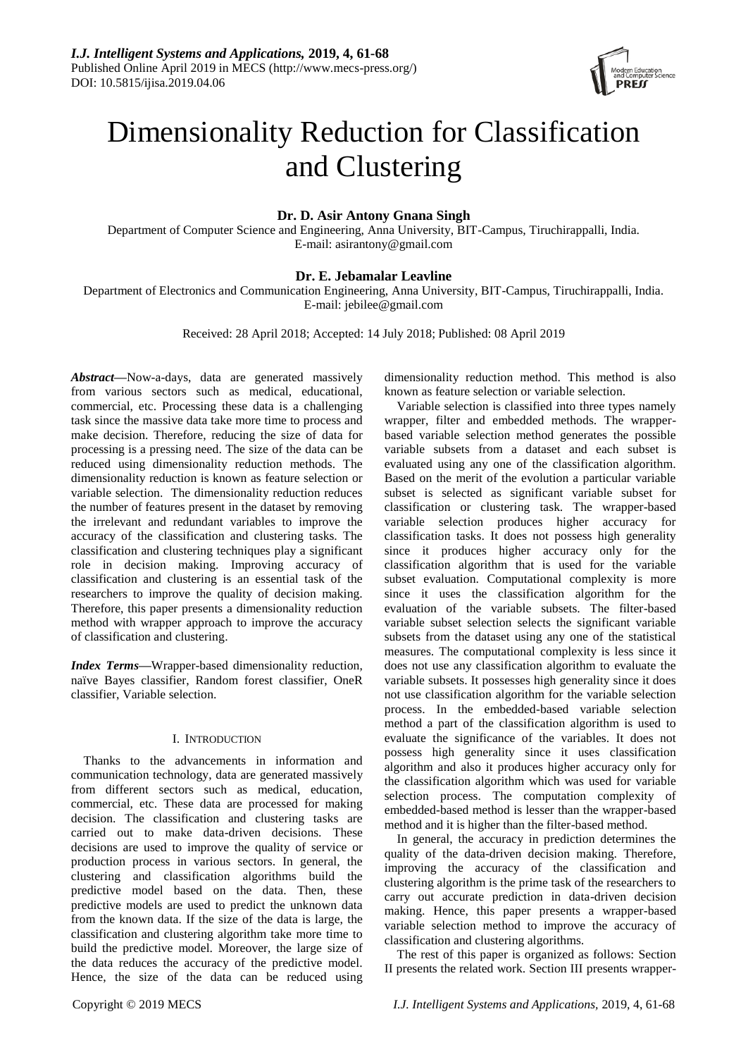

# Dimensionality Reduction for Classification and Clustering

# **Dr. D. Asir Antony Gnana Singh**

Department of Computer Science and Engineering, Anna University, BIT-Campus, Tiruchirappalli, India. E-mail: [asirantony@gmail.com](mailto:asirantony@gmail.com)

## **Dr. E. Jebamalar Leavline**

Department of Electronics and Communication Engineering, Anna University, BIT-Campus, Tiruchirappalli, India. E-mail: jebilee@gmail.com

Received: 28 April 2018; Accepted: 14 July 2018; Published: 08 April 2019

*Abstract***—**Now-a-days, data are generated massively from various sectors such as medical, educational, commercial, etc. Processing these data is a challenging task since the massive data take more time to process and make decision. Therefore, reducing the size of data for processing is a pressing need. The size of the data can be reduced using dimensionality reduction methods. The dimensionality reduction is known as feature selection or variable selection. The dimensionality reduction reduces the number of features present in the dataset by removing the irrelevant and redundant variables to improve the accuracy of the classification and clustering tasks. The classification and clustering techniques play a significant role in decision making. Improving accuracy of classification and clustering is an essential task of the researchers to improve the quality of decision making. Therefore, this paper presents a dimensionality reduction method with wrapper approach to improve the accuracy of classification and clustering.

*Index Terms***—**Wrapper-based dimensionality reduction, naïve Bayes classifier, Random forest classifier, OneR classifier, Variable selection.

## I. INTRODUCTION

Thanks to the advancements in information and communication technology, data are generated massively from different sectors such as medical, education, commercial, etc. These data are processed for making decision. The classification and clustering tasks are carried out to make data-driven decisions. These decisions are used to improve the quality of service or production process in various sectors. In general, the clustering and classification algorithms build the predictive model based on the data. Then, these predictive models are used to predict the unknown data from the known data. If the size of the data is large, the classification and clustering algorithm take more time to build the predictive model. Moreover, the large size of the data reduces the accuracy of the predictive model. Hence, the size of the data can be reduced using

dimensionality reduction method. This method is also known as feature selection or variable selection.

Variable selection is classified into three types namely wrapper, filter and embedded methods. The wrapperbased variable selection method generates the possible variable subsets from a dataset and each subset is evaluated using any one of the classification algorithm. Based on the merit of the evolution a particular variable subset is selected as significant variable subset for classification or clustering task. The wrapper-based variable selection produces higher accuracy for classification tasks. It does not possess high generality since it produces higher accuracy only for the classification algorithm that is used for the variable subset evaluation. Computational complexity is more since it uses the classification algorithm for the evaluation of the variable subsets. The filter-based variable subset selection selects the significant variable subsets from the dataset using any one of the statistical measures. The computational complexity is less since it does not use any classification algorithm to evaluate the variable subsets. It possesses high generality since it does not use classification algorithm for the variable selection process. In the embedded-based variable selection method a part of the classification algorithm is used to evaluate the significance of the variables. It does not possess high generality since it uses classification algorithm and also it produces higher accuracy only for the classification algorithm which was used for variable selection process. The computation complexity of embedded-based method is lesser than the wrapper-based method and it is higher than the filter-based method.

In general, the accuracy in prediction determines the quality of the data-driven decision making. Therefore, improving the accuracy of the classification and clustering algorithm is the prime task of the researchers to carry out accurate prediction in data-driven decision making. Hence, this paper presents a wrapper-based variable selection method to improve the accuracy of classification and clustering algorithms.

The rest of this paper is organized as follows: Section II presents the related work. Section III presents wrapper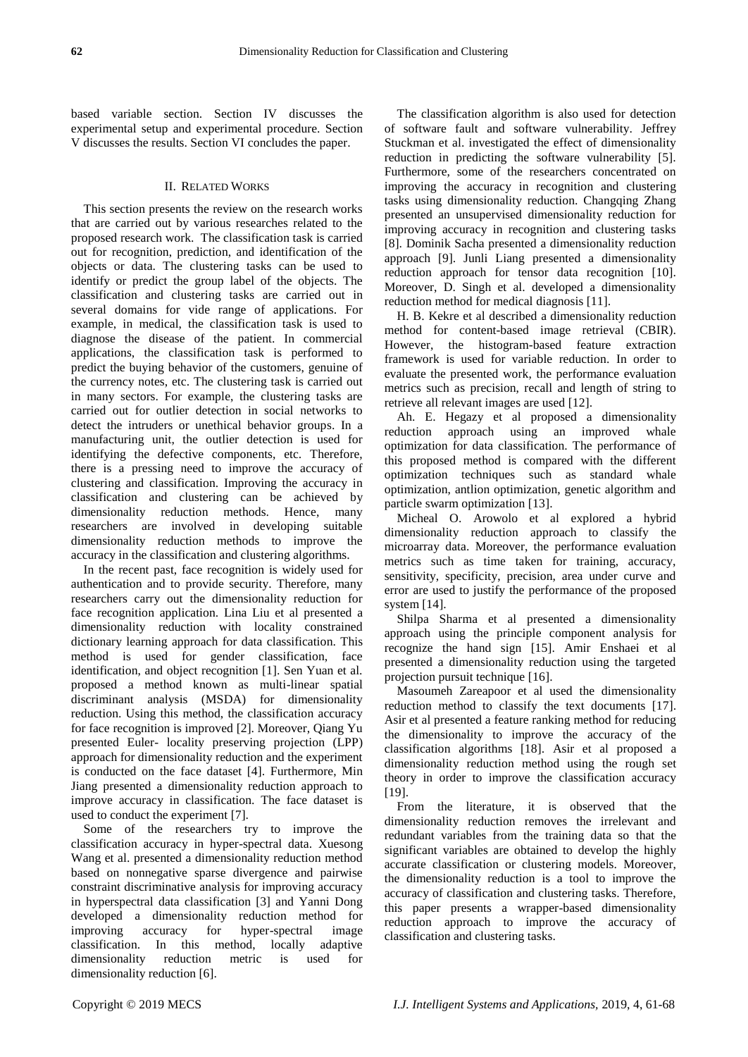based variable section. Section IV discusses the experimental setup and experimental procedure. Section V discusses the results. Section VI concludes the paper.

## II. RELATED WORKS

This section presents the review on the research works that are carried out by various researches related to the proposed research work. The classification task is carried out for recognition, prediction, and identification of the objects or data. The clustering tasks can be used to identify or predict the group label of the objects. The classification and clustering tasks are carried out in several domains for vide range of applications. For example, in medical, the classification task is used to diagnose the disease of the patient. In commercial applications, the classification task is performed to predict the buying behavior of the customers, genuine of the currency notes, etc. The clustering task is carried out in many sectors. For example, the clustering tasks are carried out for outlier detection in social networks to detect the intruders or unethical behavior groups. In a manufacturing unit, the outlier detection is used for identifying the defective components, etc. Therefore, there is a pressing need to improve the accuracy of clustering and classification. Improving the accuracy in classification and clustering can be achieved by dimensionality reduction methods. Hence, many researchers are involved in developing suitable dimensionality reduction methods to improve the accuracy in the classification and clustering algorithms.

In the recent past, face recognition is widely used for authentication and to provide security. Therefore, many researchers carry out the dimensionality reduction for face recognition application. Lina Liu et al presented a dimensionality reduction with locality constrained dictionary learning approach for data classification. This method is used for gender classification, face identification, and object recognition [1]. Sen Yuan et al. proposed a method known as multi-linear spatial discriminant analysis (MSDA) for dimensionality reduction. Using this method, the classification accuracy for face recognition is improved [2]. Moreover, Qiang Yu presented Euler- locality preserving projection (LPP) approach for dimensionality reduction and the experiment is conducted on the face dataset [4]. Furthermore, Min Jiang presented a dimensionality reduction approach to improve accuracy in classification. The face dataset is used to conduct the experiment [7].

Some of the researchers try to improve the classification accuracy in hyper-spectral data. Xuesong Wang et al. presented a dimensionality reduction method based on nonnegative sparse divergence and pairwise constraint discriminative analysis for improving accuracy in hyperspectral data classification [3] and Yanni Dong developed a dimensionality reduction method for improving accuracy for hyper-spectral image classification. In this method, locally adaptive dimensionality reduction metric is used for dimensionality reduction [6].

The classification algorithm is also used for detection of software fault and software vulnerability. Jeffrey Stuckman et al. investigated the effect of dimensionality reduction in predicting the software vulnerability [5]. Furthermore, some of the researchers concentrated on improving the accuracy in recognition and clustering tasks using dimensionality reduction. Changqing Zhang presented an unsupervised dimensionality reduction for improving accuracy in recognition and clustering tasks [8]. Dominik Sacha presented a dimensionality reduction approach [9]. Junli Liang presented a dimensionality reduction approach for tensor data recognition [10]. Moreover, D. Singh et al. developed a dimensionality reduction method for medical diagnosis [11].

H. B. Kekre et al described a dimensionality reduction method for content-based image retrieval (CBIR). However, the histogram-based feature extraction framework is used for variable reduction. In order to evaluate the presented work, the performance evaluation metrics such as precision, recall and length of string to retrieve all relevant images are used [12].

Ah. E. Hegazy et al proposed a dimensionality reduction approach using an improved whale optimization for data classification. The performance of this proposed method is compared with the different optimization techniques such as standard whale optimization, antlion optimization, genetic algorithm and particle swarm optimization [13].

Micheal O. Arowolo et al explored a hybrid dimensionality reduction approach to classify the microarray data. Moreover, the performance evaluation metrics such as time taken for training, accuracy, sensitivity, specificity, precision, area under curve and error are used to justify the performance of the proposed system [14].

Shilpa Sharma et al presented a dimensionality approach using the principle component analysis for recognize the hand sign [15]. Amir Enshaei et al presented a dimensionality reduction using the targeted projection pursuit technique [16].

Masoumeh Zareapoor et al used the dimensionality reduction method to classify the text documents [17]. Asir et al presented a feature ranking method for reducing the dimensionality to improve the accuracy of the classification algorithms [18]. Asir et al proposed a dimensionality reduction method using the rough set theory in order to improve the classification accuracy [19].

From the literature, it is observed that the dimensionality reduction removes the irrelevant and redundant variables from the training data so that the significant variables are obtained to develop the highly accurate classification or clustering models. Moreover, the dimensionality reduction is a tool to improve the accuracy of classification and clustering tasks. Therefore, this paper presents a wrapper-based dimensionality reduction approach to improve the accuracy of classification and clustering tasks.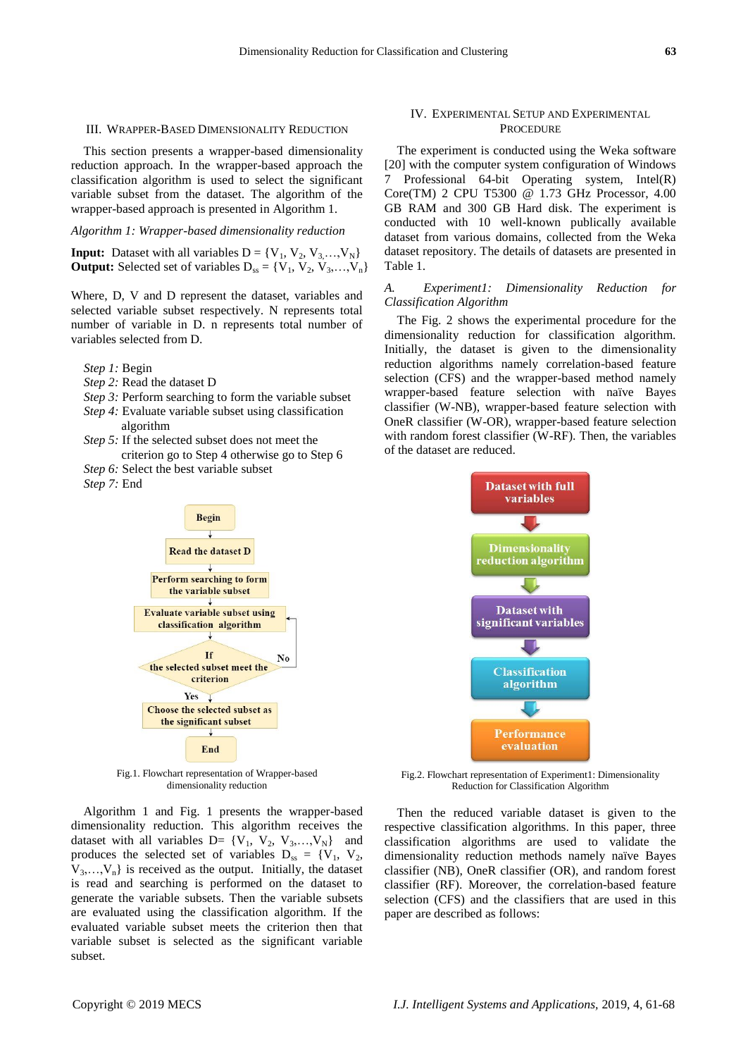#### III. WRAPPER-BASED DIMENSIONALITY REDUCTION

This section presents a wrapper-based dimensionality reduction approach. In the wrapper-based approach the classification algorithm is used to select the significant variable subset from the dataset. The algorithm of the wrapper-based approach is presented in Algorithm 1.

#### *Algorithm 1: Wrapper-based dimensionality reduction*

**Input:** Dataset with all variables  $D = \{V_1, V_2, V_3, \ldots, V_N\}$ **Output:** Selected set of variables  $D_{ss} = \{V_1, V_2, V_3, \ldots, V_n\}$ 

Where, D, V and D represent the dataset, variables and selected variable subset respectively. N represents total number of variable in D. n represents total number of variables selected from D.

- *Step 1:* Begin
- *Step 2:* Read the dataset D
- *Step 3:* Perform searching to form the variable subset
- *Step 4:* Evaluate variable subset using classification algorithm
- *Step 5:* If the selected subset does not meet the criterion go to Step 4 otherwise go to Step 6
- *Step 6:* Select the best variable subset
- *Step 7:* End



Fig.1. Flowchart representation of Wrapper-based dimensionality reduction

Algorithm 1 and Fig. 1 presents the wrapper-based dimensionality reduction. This algorithm receives the dataset with all variables  $D = \{V_1, V_2, V_3, \ldots, V_N\}$  and produces the selected set of variables  $D_{ss} = \{V_1, V_2,$  $V_3, \ldots, V_n$  is received as the output. Initially, the dataset is read and searching is performed on the dataset to generate the variable subsets. Then the variable subsets are evaluated using the classification algorithm. If the evaluated variable subset meets the criterion then that variable subset is selected as the significant variable subset.

#### IV. EXPERIMENTAL SETUP AND EXPERIMENTAL **PROCEDURE**

The experiment is conducted using the Weka software [20] with the computer system configuration of Windows 7 Professional 64-bit Operating system, Intel(R) Core(TM) 2 CPU T5300 @ 1.73 GHz Processor, 4.00 GB RAM and 300 GB Hard disk. The experiment is conducted with 10 well-known publically available dataset from various domains, collected from the Weka dataset repository. The details of datasets are presented in Table 1.

### *A. Experiment1: Dimensionality Reduction for Classification Algorithm*

The Fig. 2 shows the experimental procedure for the dimensionality reduction for classification algorithm. Initially, the dataset is given to the dimensionality reduction algorithms namely correlation-based feature selection (CFS) and the wrapper-based method namely wrapper-based feature selection with na we Bayes classifier (W-NB), wrapper-based feature selection with OneR classifier (W-OR), wrapper-based feature selection with random forest classifier (W-RF). Then, the variables of the dataset are reduced.



Fig.2. Flowchart representation of Experiment1: Dimensionality Reduction for Classification Algorithm

Then the reduced variable dataset is given to the respective classification algorithms. In this paper, three classification algorithms are used to validate the dimensionality reduction methods namely naïve Bayes classifier (NB), OneR classifier (OR), and random forest classifier (RF). Moreover, the correlation-based feature selection (CFS) and the classifiers that are used in this paper are described as follows: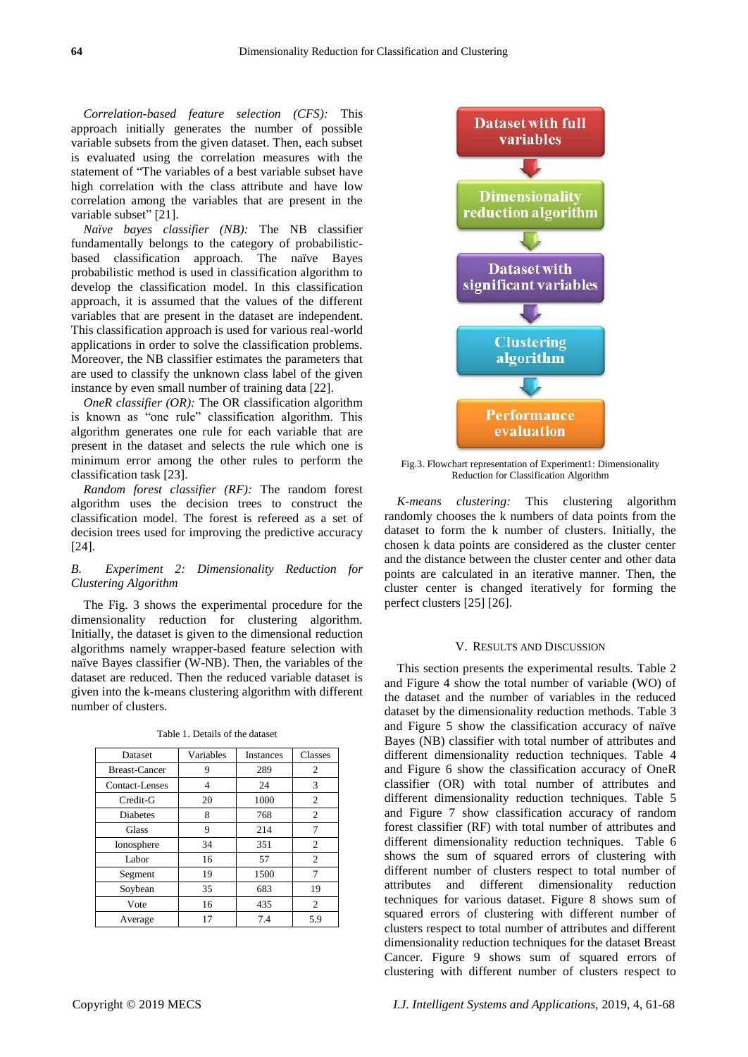*Correlation-based feature selection (CFS):* This approach initially generates the number of possible variable subsets from the given dataset. Then, each subset is evaluated using the correlation measures with the statement of "The variables of a best variable subset have high correlation with the class attribute and have low correlation among the variables that are present in the variable subset" [21].

*Naïve bayes classifier (NB):* The NB classifier fundamentally belongs to the category of probabilisticbased classification approach. The naïve Bayes probabilistic method is used in classification algorithm to develop the classification model. In this classification approach, it is assumed that the values of the different variables that are present in the dataset are independent. This classification approach is used for various real-world applications in order to solve the classification problems. Moreover, the NB classifier estimates the parameters that are used to classify the unknown class label of the given instance by even small number of training data [22].

*OneR classifier (OR):* The OR classification algorithm is known as "one rule" classification algorithm. This algorithm generates one rule for each variable that are present in the dataset and selects the rule which one is minimum error among the other rules to perform the classification task [23].

*Random forest classifier (RF):* The random forest algorithm uses the decision trees to construct the classification model. The forest is refereed as a set of decision trees used for improving the predictive accuracy [24].

## *B. Experiment 2: Dimensionality Reduction for Clustering Algorithm*

The Fig. 3 shows the experimental procedure for the dimensionality reduction for clustering algorithm. Initially, the dataset is given to the dimensional reduction algorithms namely wrapper-based feature selection with naïve Bayes classifier (W-NB). Then, the variables of the dataset are reduced. Then the reduced variable dataset is given into the k-means clustering algorithm with different number of clusters.

| Dataset              | Variables | <b>Instances</b> | Classes        |  |
|----------------------|-----------|------------------|----------------|--|
| <b>Breast-Cancer</b> | 9         | 289              | 2              |  |
| Contact-Lenses       | 4         | 24               | 3              |  |
| Credit-G             | 20        | 1000             | 2              |  |
| <b>Diabetes</b>      | 8         | 768              | 2              |  |
| Glass                | 9         | 214              | 7              |  |
| Ionosphere           | 34        | 351              | 2              |  |
| Labor                | 16        | 57               | $\overline{c}$ |  |
| Segment              | 19        | 1500             | 7              |  |
| Soybean              | 35        | 683              | 19             |  |
| Vote                 | 16        | 435              | 2              |  |
| Average              | 17        | 7.4              | 5.9            |  |



Fig.3. Flowchart representation of Experiment1: Dimensionality Reduction for Classification Algorithm

*K-means clustering:* This clustering algorithm randomly chooses the k numbers of data points from the dataset to form the k number of clusters. Initially, the chosen k data points are considered as the cluster center and the distance between the cluster center and other data points are calculated in an iterative manner. Then, the cluster center is changed iteratively for forming the perfect clusters [25] [26].

#### V. RESULTS AND DISCUSSION

This section presents the experimental results. Table 2 and Figure 4 show the total number of variable (WO) of the dataset and the number of variables in the reduced dataset by the dimensionality reduction methods. Table 3 and Figure 5 show the classification accuracy of naïve Bayes (NB) classifier with total number of attributes and different dimensionality reduction techniques. Table 4 and Figure 6 show the classification accuracy of OneR classifier (OR) with total number of attributes and different dimensionality reduction techniques. Table 5 and Figure 7 show classification accuracy of random forest classifier (RF) with total number of attributes and different dimensionality reduction techniques. Table 6 shows the sum of squared errors of clustering with different number of clusters respect to total number of attributes and different dimensionality reduction techniques for various dataset. Figure 8 shows sum of squared errors of clustering with different number of clusters respect to total number of attributes and different dimensionality reduction techniques for the dataset Breast Cancer. Figure 9 shows sum of squared errors of clustering with different number of clusters respect to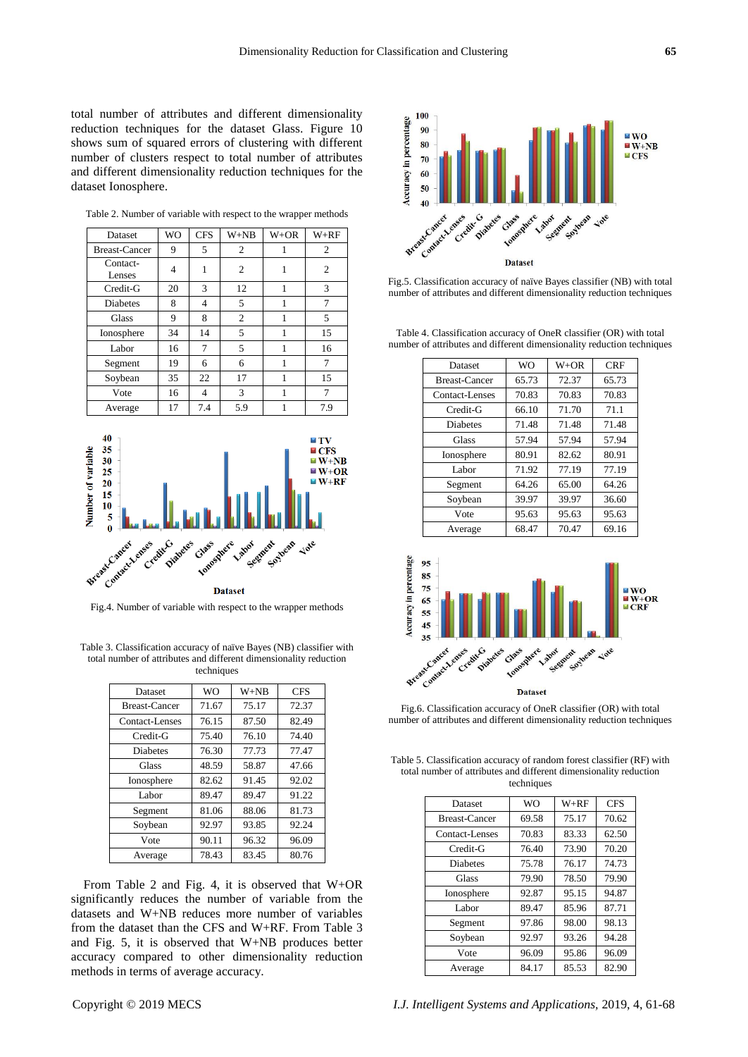total number of attributes and different dimensionality reduction techniques for the dataset Glass. Figure 10 shows sum of squared errors of clustering with different number of clusters respect to total number of attributes and different dimensionality reduction techniques for the dataset Ionosphere.

| Dataset              | wo | CFS | W+NB           | W+OR | W+RF           |
|----------------------|----|-----|----------------|------|----------------|
| <b>Breast-Cancer</b> | 9  | 5   | 2              |      | 2              |
| Contact-<br>Lenses   | 4  |     | $\overline{2}$ | 1    | $\overline{2}$ |
| Credit-G             | 20 | 3   | 12             | 1    | 3              |
| <b>Diabetes</b>      | 8  | 4   | 5              |      | 7              |
| Glass                | 9  | 8   | $\mathfrak{2}$ | 1    | 5              |
| Ionosphere           | 34 | 14  | 5              |      | 15             |
| Labor                | 16 | 7   | 5              |      | 16             |
| Segment              | 19 | 6   | 6              |      | 7              |
| Soybean              | 35 | 22  | 17             | 1    | 15             |
| Vote                 | 16 | 4   | 3              | 1    | 7              |
| Average              | 17 | 7.4 | 5.9            |      | 7.9            |

Table 2. Number of variable with respect to the wrapper methods

 $\overline{\phantom{a}}$ 



Fig.4. Number of variable with respect to the wrapper methods

Table 3. Classification accuracy of naïve Bayes (NB) classifier with total number of attributes and different dimensionality reduction techniques

| Dataset         | <b>WO</b> | $W+NB$ | <b>CFS</b> |  |
|-----------------|-----------|--------|------------|--|
| Breast-Cancer   | 71.67     | 75.17  | 72.37      |  |
| Contact-Lenses  | 76.15     | 87.50  | 82.49      |  |
| Credit-G        | 75.40     | 76.10  | 74.40      |  |
| <b>Diabetes</b> | 76.30     | 77.73  | 77.47      |  |
| <b>Glass</b>    | 48.59     | 58.87  | 47.66      |  |
| Ionosphere      | 82.62     | 91.45  | 92.02      |  |
| Labor           | 89.47     | 89.47  | 91.22      |  |
| Segment         | 81.06     | 88.06  | 81.73      |  |
| Soybean         | 92.97     | 93.85  | 92.24      |  |
| Vote            | 90.11     | 96.32  | 96.09      |  |
| Average         | 78.43     | 83.45  | 80.76      |  |

From Table 2 and Fig. 4, it is observed that W+OR significantly reduces the number of variable from the datasets and W+NB reduces more number of variables from the dataset than the CFS and W+RF. From Table 3 and Fig. 5, it is observed that W+NB produces better accuracy compared to other dimensionality reduction methods in terms of average accuracy.



Fig.5. Classification accuracy of na we Bayes classifier (NB) with total number of attributes and different dimensionality reduction techniques

Table 4. Classification accuracy of OneR classifier (OR) with total number of attributes and different dimensionality reduction techniques

| Dataset              | <b>WO</b> | $W+OR$ | <b>CRF</b>     |  |
|----------------------|-----------|--------|----------------|--|
| <b>Breast-Cancer</b> | 65.73     | 72.37  | 65.73          |  |
| Contact-Lenses       | 70.83     | 70.83  | 70.83          |  |
| Credit-G             | 66.10     | 71.70  | 71.1           |  |
| <b>Diabetes</b>      | 71.48     | 71.48  | 71.48<br>57.94 |  |
| Glass                | 57.94     | 57.94  |                |  |
| Ionosphere           | 80.91     | 82.62  | 80.91          |  |
| Labor                | 71.92     | 77.19  | 77.19          |  |
| Segment              | 64.26     | 65.00  | 64.26          |  |
| Soybean              | 39.97     | 39.97  | 36.60          |  |
| Vote                 | 95.63     | 95.63  | 95.63          |  |
| Average              | 68.47     | 70.47  | 69.16          |  |



Fig.6. Classification accuracy of OneR classifier (OR) with total number of attributes and different dimensionality reduction techniques

Table 5. Classification accuracy of random forest classifier (RF) with total number of attributes and different dimensionality reduction techniques

| Dataset              | <b>WO</b> | $W+RF$ | <b>CFS</b> |
|----------------------|-----------|--------|------------|
| <b>Breast-Cancer</b> | 69.58     | 75.17  | 70.62      |
| Contact-Lenses       | 70.83     | 83.33  | 62.50      |
| Credit-G             | 76.40     | 73.90  | 70.20      |
| <b>Diabetes</b>      | 75.78     | 76.17  | 74.73      |
| <b>Glass</b>         | 79.90     | 78.50  | 79.90      |
| Ionosphere           | 92.87     | 95.15  | 94.87      |
| Labor                | 89.47     | 85.96  | 87.71      |
| Segment              | 97.86     | 98.00  | 98.13      |
| Soybean              | 92.97     | 93.26  | 94.28      |
| Vote                 | 96.09     | 95.86  | 96.09      |
| Average              | 84.17     | 85.53  | 82.90      |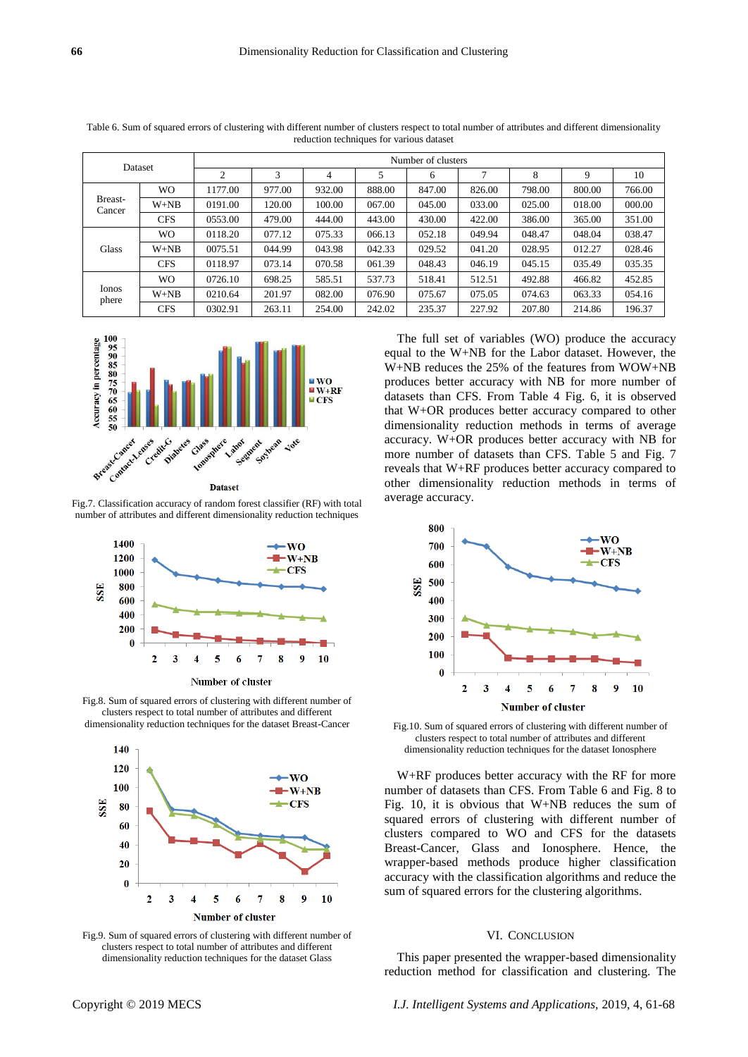| Dataset           |            | Number of clusters |        |        |        |        |        |        |        |        |
|-------------------|------------|--------------------|--------|--------|--------|--------|--------|--------|--------|--------|
|                   |            | 2                  | 3      | 4      |        | 6      |        | 8      | 9      | 10     |
| Breast-<br>Cancer | WO.        | 1177.00            | 977.00 | 932.00 | 888.00 | 847.00 | 826.00 | 798.00 | 800.00 | 766.00 |
|                   | $W+NB$     | 0191.00            | 120.00 | 100.00 | 067.00 | 045.00 | 033.00 | 025.00 | 018.00 | 000.00 |
|                   | <b>CFS</b> | 0553.00            | 479.00 | 444.00 | 443.00 | 430.00 | 422.00 | 386.00 | 365.00 | 351.00 |
| Glass             | WO.        | 0118.20            | 077.12 | 075.33 | 066.13 | 052.18 | 049.94 | 048.47 | 048.04 | 038.47 |
|                   | $W+NB$     | 0075.51            | 044.99 | 043.98 | 042.33 | 029.52 | 041.20 | 028.95 | 012.27 | 028.46 |
|                   | <b>CFS</b> | 0118.97            | 073.14 | 070.58 | 061.39 | 048.43 | 046.19 | 045.15 | 035.49 | 035.35 |
| Ionos<br>phere    | WO.        | 0726.10            | 698.25 | 585.51 | 537.73 | 518.41 | 512.51 | 492.88 | 466.82 | 452.85 |
|                   | $W+NB$     | 0210.64            | 201.97 | 082.00 | 076.90 | 075.67 | 075.05 | 074.63 | 063.33 | 054.16 |
|                   | <b>CFS</b> | 0302.91            | 263.11 | 254.00 | 242.02 | 235.37 | 227.92 | 207.80 | 214.86 | 196.37 |

Table 6. Sum of squared errors of clustering with different number of clusters respect to total number of attributes and different dimensionality reduction techniques for various dataset



Fig.7. Classification accuracy of random forest classifier (RF) with total number of attributes and different dimensionality reduction techniques



Fig.8. Sum of squared errors of clustering with different number of clusters respect to total number of attributes and different dimensionality reduction techniques for the dataset Breast-Cancer



Fig.9. Sum of squared errors of clustering with different number of clusters respect to total number of attributes and different dimensionality reduction techniques for the dataset Glass

The full set of variables (WO) produce the accuracy equal to the W+NB for the Labor dataset. However, the W+NB reduces the 25% of the features from WOW+NB produces better accuracy with NB for more number of datasets than CFS. From Table 4 Fig. 6, it is observed that W+OR produces better accuracy compared to other dimensionality reduction methods in terms of average accuracy. W+OR produces better accuracy with NB for more number of datasets than CFS. Table 5 and Fig. 7 reveals that W+RF produces better accuracy compared to other dimensionality reduction methods in terms of average accuracy.



Fig.10. Sum of squared errors of clustering with different number of clusters respect to total number of attributes and different dimensionality reduction techniques for the dataset Ionosphere

W+RF produces better accuracy with the RF for more number of datasets than CFS. From Table 6 and Fig. 8 to Fig. 10, it is obvious that W+NB reduces the sum of squared errors of clustering with different number of clusters compared to WO and CFS for the datasets Breast-Cancer, Glass and Ionosphere. Hence, the wrapper-based methods produce higher classification accuracy with the classification algorithms and reduce the sum of squared errors for the clustering algorithms.

#### VI. CONCLUSION

This paper presented the wrapper-based dimensionality reduction method for classification and clustering. The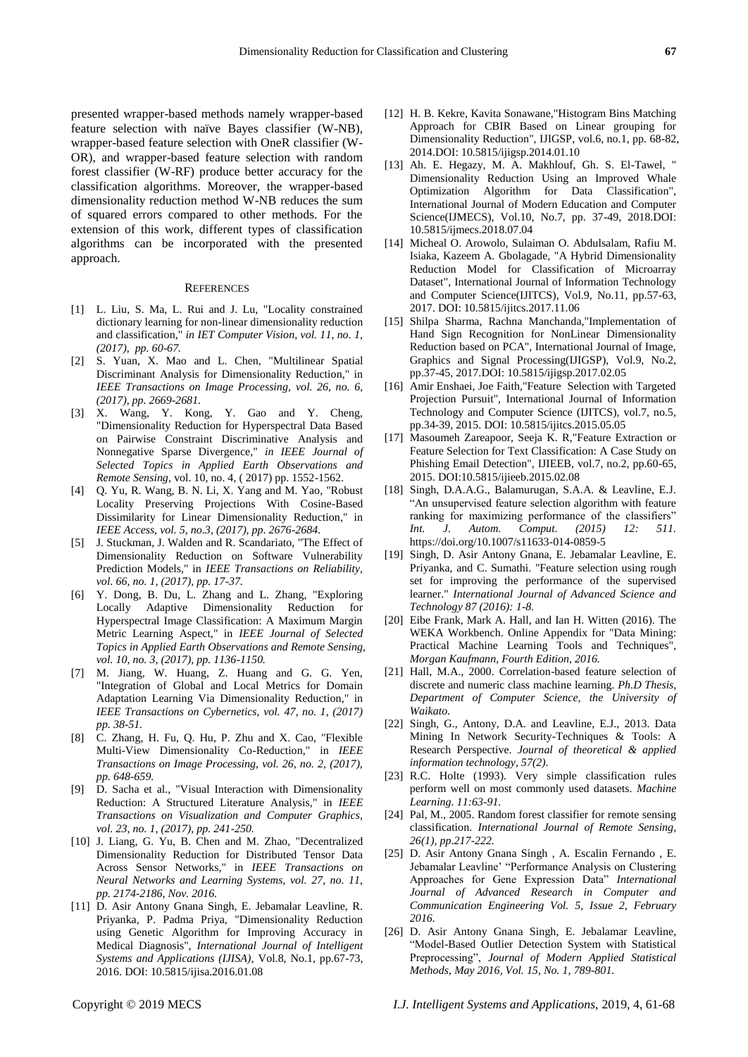presented wrapper-based methods namely wrapper-based feature selection with naïve Bayes classifier (W-NB), wrapper-based feature selection with OneR classifier (W-OR), and wrapper-based feature selection with random forest classifier (W-RF) produce better accuracy for the classification algorithms. Moreover, the wrapper-based dimensionality reduction method W-NB reduces the sum of squared errors compared to other methods. For the extension of this work, different types of classification algorithms can be incorporated with the presented approach.

#### **REFERENCES**

- [1] L. Liu, S. Ma, L. Rui and J. Lu, "Locality constrained dictionary learning for non-linear dimensionality reduction and classification," *in IET Computer Vision, vol. 11, no. 1, (2017), pp. 60-67.*
- [2] S. Yuan, X. Mao and L. Chen, "Multilinear Spatial Discriminant Analysis for Dimensionality Reduction," in *IEEE Transactions on Image Processing, vol. 26, no. 6, (2017), pp. 2669-2681.*
- [3] X. Wang, Y. Kong, Y. Gao and Y. Cheng, "Dimensionality Reduction for Hyperspectral Data Based on Pairwise Constraint Discriminative Analysis and Nonnegative Sparse Divergence," *in IEEE Journal of Selected Topics in Applied Earth Observations and Remote Sensing,* vol. 10, no. 4, ( 2017) pp. 1552-1562.
- [4] Q. Yu, R. Wang, B. N. Li, X. Yang and M. Yao, "Robust Locality Preserving Projections With Cosine-Based Dissimilarity for Linear Dimensionality Reduction," in *IEEE Access, vol. 5, no.3, (2017), pp. 2676-2684.*
- [5] J. Stuckman, J. Walden and R. Scandariato, "The Effect of Dimensionality Reduction on Software Vulnerability Prediction Models," in *IEEE Transactions on Reliability, vol. 66, no. 1, (2017), pp. 17-37.*
- [6] Y. Dong, B. Du, L. Zhang and L. Zhang, "Exploring Locally Adaptive Dimensionality Reduction for Hyperspectral Image Classification: A Maximum Margin Metric Learning Aspect," in *IEEE Journal of Selected Topics in Applied Earth Observations and Remote Sensing, vol. 10, no. 3, (2017), pp. 1136-1150.*
- [7] M. Jiang, W. Huang, Z. Huang and G. G. Yen, "Integration of Global and Local Metrics for Domain Adaptation Learning Via Dimensionality Reduction," in *IEEE Transactions on Cybernetics, vol. 47, no. 1, (2017) pp. 38-51.*
- [8] C. Zhang, H. Fu, Q. Hu, P. Zhu and X. Cao, "Flexible Multi-View Dimensionality Co-Reduction," in *IEEE Transactions on Image Processing, vol. 26, no. 2, (2017), pp. 648-659.*
- [9] D. Sacha et al., "Visual Interaction with Dimensionality Reduction: A Structured Literature Analysis," in *IEEE Transactions on Visualization and Computer Graphics, vol. 23, no. 1, (2017), pp. 241-250.*
- [10] J. Liang, G. Yu, B. Chen and M. Zhao, "Decentralized Dimensionality Reduction for Distributed Tensor Data Across Sensor Networks," in *IEEE Transactions on Neural Networks and Learning Systems, vol. 27, no. 11, pp. 2174-2186, Nov. 2016.*
- [11] D. Asir Antony Gnana Singh, E. Jebamalar Leavline, R. Priyanka, P. Padma Priya, "Dimensionality Reduction using Genetic Algorithm for Improving Accuracy in Medical Diagnosis", *International Journal of Intelligent Systems and Applications (IJISA),* Vol.8, No.1, pp.67-73, 2016. DOI: 10.5815/ijisa.2016.01.08
- [12] H. B. Kekre, Kavita Sonawane,"Histogram Bins Matching Approach for CBIR Based on Linear grouping for Dimensionality Reduction", IJIGSP, vol.6, no.1, pp. 68-82, 2014.DOI: 10.5815/ijigsp.2014.01.10
- [13] Ah. E. Hegazy, M. A. Makhlouf, Gh. S. El-Tawel, " Dimensionality Reduction Using an Improved Whale Optimization Algorithm for Data Classification", International Journal of Modern Education and Computer Science(IJMECS), Vol.10, No.7, pp. 37-49, 2018.DOI: 10.5815/ijmecs.2018.07.04
- [14] Micheal O. Arowolo, Sulaiman O. Abdulsalam, Rafiu M. Isiaka, Kazeem A. Gbolagade, "A Hybrid Dimensionality Reduction Model for Classification of Microarray Dataset", International Journal of Information Technology and Computer Science(IJITCS), Vol.9, No.11, pp.57-63, 2017. DOI: 10.5815/ijitcs.2017.11.06
- [15] Shilpa Sharma, Rachna Manchanda,"Implementation of Hand Sign Recognition for NonLinear Dimensionality Reduction based on PCA", International Journal of Image, Graphics and Signal Processing(IJIGSP), Vol.9, No.2, pp.37-45, 2017.DOI: 10.5815/ijigsp.2017.02.05
- [16] Amir Enshaei, Joe Faith, "Feature Selection with Targeted Projection Pursuit", International Journal of Information Technology and Computer Science (IJITCS), vol.7, no.5, pp.34-39, 2015. DOI: 10.5815/ijitcs.2015.05.05
- [17] Masoumeh Zareapoor, Seeja K. R,"Feature Extraction or Feature Selection for Text Classification: A Case Study on Phishing Email Detection", IJIEEB, vol.7, no.2, pp.60-65, 2015. DOI:10.5815/ijieeb.2015.02.08
- [18] Singh, D.A.A.G., Balamurugan, S.A.A. & Leavline, E.J. "An unsupervised feature selection algorithm with feature ranking for maximizing performance of the classifiers" *Int. J. Autom. Comput. (2015) 12: 511.* https://doi.org/10.1007/s11633-014-0859-5
- [19] Singh, D. Asir Antony Gnana, E. Jebamalar Leavline, E. Priyanka, and C. Sumathi. "Feature selection using rough set for improving the performance of the supervised learner." *International Journal of Advanced Science and Technology 87 (2016): 1-8.*
- [20] Eibe Frank, Mark A. Hall, and Ian H. Witten (2016). The WEKA Workbench. Online Appendix for "Data Mining: Practical Machine Learning Tools and Techniques", *Morgan Kaufmann, Fourth Edition, 2016.*
- [21] Hall, M.A., 2000. Correlation-based feature selection of discrete and numeric class machine learning*. Ph.D Thesis, Department of Computer Science, the University of Waikato.*
- [22] Singh, G., Antony, D.A. and Leavline, E.J., 2013. Data Mining In Network Security-Techniques & Tools: A Research Perspective. *Journal of theoretical & applied information technology, 57(2).*
- [23] R.C. Holte (1993). Very simple classification rules perform well on most commonly used datasets. *Machine Learning. 11:63-91.*
- [24] Pal, M., 2005. Random forest classifier for remote sensing classification. *International Journal of Remote Sensing, 26(1), pp.217-222.*
- [25] D. Asir Antony Gnana Singh , A. Escalin Fernando , E. Jebamalar Leavline' "Performance Analysis on Clustering Approaches for Gene Expression Data" *International Journal of Advanced Research in Computer and Communication Engineering Vol. 5, Issue 2, February 2016.*
- [26] D. Asir Antony Gnana Singh, E. Jebalamar Leavline, "Model-Based Outlier Detection System with Statistical Preprocessing", *Journal of Modern Applied Statistical Methods, May 2016, Vol. 15, No. 1, 789-801.*